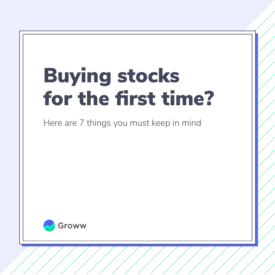# Buying stocks for the first time?

Here are 7 things you must keep in mind

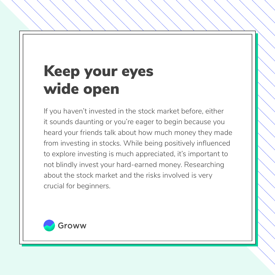#### Keep your eyes wide open

If you haven't invested in the stock market before, either it sounds daunting or you're eager to begin because you heard your friends talk about how much money they made from investing in stocks. While being positively influenced to explore investing is much appreciated, it's important to not blindly invest your hard-earned money. Researching about the stock market and the risks involved is very crucial for beginners.

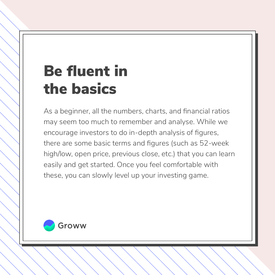#### Be fluent in the basics

As a beginner, all the numbers, charts, and financial ratios may seem too much to remember and analyse. While we encourage investors to do in-depth analysis of figures, there are some basic terms and figures (such as 52-week high/low, open price, previous close, etc.) that you can learn easily and get started. Once you feel comfortable with these, you can slowly level up your investing game.

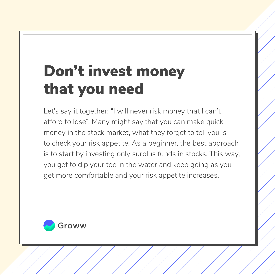## Don't invest money that you need

Let's say it together: "I will never risk money that I can't afford to lose". Many might say that you can make quick money in the stock market, what they forget to tell you is to check your risk appetite. As a beginner, the best approach is to start by investing only surplus funds in stocks. This way, you get to dip your toe in the water and keep going as you get more comfortable and your risk appetite increases.

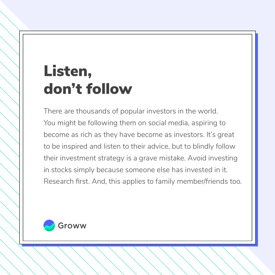## Listen, don't follow

There are thousands of popular investors in the world. You might be following them on social media, aspiring to become as rich as they have become as investors. It's great to be inspired and listen to their advice, but to blindly follow their investment strategy is a grave mistake. Avoid investing in stocks simply because someone else has invested in it. Research first. And, this applies to family member/friends too.

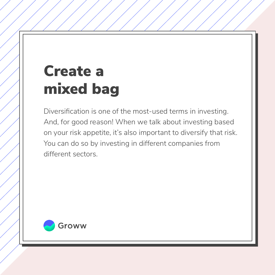## Create a mixed bag

Diversification is one of the most-used terms in investing. And, for good reason! When we talk about investing based on your risk appetite, it's also important to diversify that risk. You can do so by investing in different companies from different sectors.

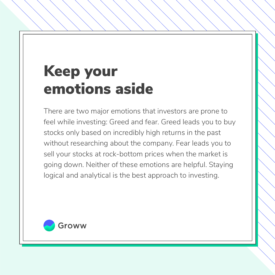#### Keep your emotions aside

There are two major emotions that investors are prone to feel while investing: Greed and fear. Greed leads you to buy stocks only based on incredibly high returns in the past without researching about the company. Fear leads you to sell your stocks at rock-bottom prices when the market is going down. Neither of these emotions are helpful. Staying logical and analytical is the best approach to investing.